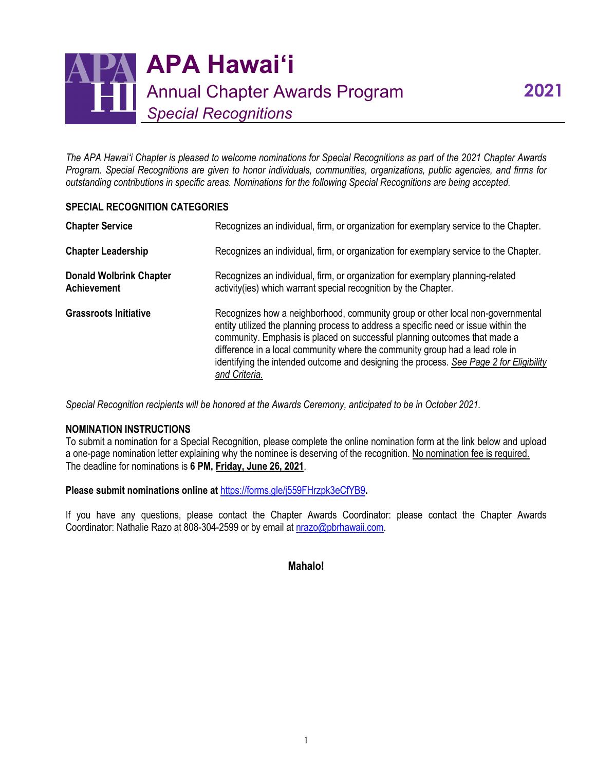

*The APA Hawaiʻi Chapter is pleased to welcome nominations for Special Recognitions as part of the 2021 Chapter Awards Program. Special Recognitions are given to honor individuals, communities, organizations, public agencies, and firms for outstanding contributions in specific areas. Nominations for the following Special Recognitions are being accepted.*

## **SPECIAL RECOGNITION CATEGORIES**

| <b>Chapter Service</b>                               | Recognizes an individual, firm, or organization for exemplary service to the Chapter.                                                                                                                                                                                                                                                                                                                                                         |
|------------------------------------------------------|-----------------------------------------------------------------------------------------------------------------------------------------------------------------------------------------------------------------------------------------------------------------------------------------------------------------------------------------------------------------------------------------------------------------------------------------------|
| <b>Chapter Leadership</b>                            | Recognizes an individual, firm, or organization for exemplary service to the Chapter.                                                                                                                                                                                                                                                                                                                                                         |
| <b>Donald Wolbrink Chapter</b><br><b>Achievement</b> | Recognizes an individual, firm, or organization for exemplary planning-related<br>activity(ies) which warrant special recognition by the Chapter.                                                                                                                                                                                                                                                                                             |
| <b>Grassroots Initiative</b>                         | Recognizes how a neighborhood, community group or other local non-governmental<br>entity utilized the planning process to address a specific need or issue within the<br>community. Emphasis is placed on successful planning outcomes that made a<br>difference in a local community where the community group had a lead role in<br>identifying the intended outcome and designing the process. See Page 2 for Eligibility<br>and Criteria. |

*Special Recognition recipients will be honored at the Awards Ceremony, anticipated to be in October 2021.*

## **NOMINATION INSTRUCTIONS**

To submit a nomination for a Special Recognition, please complete the online nomination form at the link below and upload a one-page nomination letter explaining why the nominee is deserving of the recognition. No nomination fee is required. The deadline for nominations is **6 PM, Friday, June 26, 2021**.

**Please submit nominations online at** <https://forms.gle/j559FHrzpk3eCfYB9>**.**

If you have any questions, please contact the Chapter Awards Coordinator: please contact the Chapter Awards Coordinator: Nathalie Razo at 808-304-2599 or by email at [nrazo@pbrhawaii.com.](mailto:nrazo@pbrhawaii.com)

**Mahalo!**